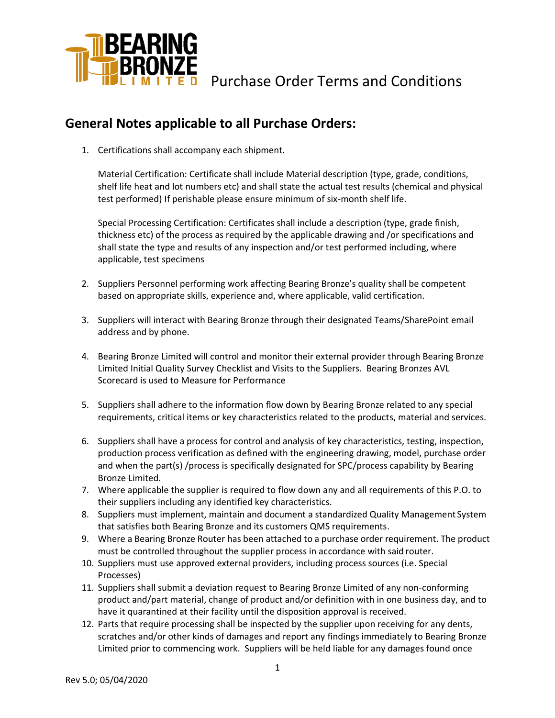

### **General Notes applicable to all Purchase Orders:**

1. Certifications shall accompany each shipment.

Material Certification: Certificate shall include Material description (type, grade, conditions, shelf life heat and lot numbers etc) and shall state the actual test results (chemical and physical test performed) If perishable please ensure minimum of six-month shelf life.

Special Processing Certification: Certificates shall include a description (type, grade finish, thickness etc) of the process as required by the applicable drawing and /or specifications and shall state the type and results of any inspection and/or test performed including, where applicable, test specimens

- 2. Suppliers Personnel performing work affecting Bearing Bronze's quality shall be competent based on appropriate skills, experience and, where applicable, valid certification.
- 3. Suppliers will interact with Bearing Bronze through their designated Teams/SharePoint email address and by phone.
- 4. Bearing Bronze Limited will control and monitor their external provider through Bearing Bronze Limited Initial Quality Survey Checklist and Visits to the Suppliers. Bearing Bronzes AVL Scorecard is used to Measure for Performance
- 5. Suppliers shall adhere to the information flow down by Bearing Bronze related to any special requirements, critical items or key characteristics related to the products, material and services.
- 6. Suppliers shall have a process for control and analysis of key characteristics, testing, inspection, production process verification as defined with the engineering drawing, model, purchase order and when the part(s) /process is specifically designated for SPC/process capability by Bearing Bronze Limited.
- 7. Where applicable the supplier is required to flow down any and all requirements of this P.O. to their suppliers including any identified key characteristics.
- 8. Suppliers must implement, maintain and document a standardized Quality Management System that satisfies both Bearing Bronze and its customers QMS requirements.
- 9. Where a Bearing Bronze Router has been attached to a purchase order requirement. The product must be controlled throughout the supplier process in accordance with said router.
- 10. Suppliers must use approved external providers, including process sources (i.e. Special Processes)
- 11. Suppliers shall submit a deviation request to Bearing Bronze Limited of any non-conforming product and/part material, change of product and/or definition with in one business day, and to have it quarantined at their facility until the disposition approval is received.
- 12. Parts that require processing shall be inspected by the supplier upon receiving for any dents, scratches and/or other kinds of damages and report any findings immediately to Bearing Bronze Limited prior to commencing work. Suppliers will be held liable for any damages found once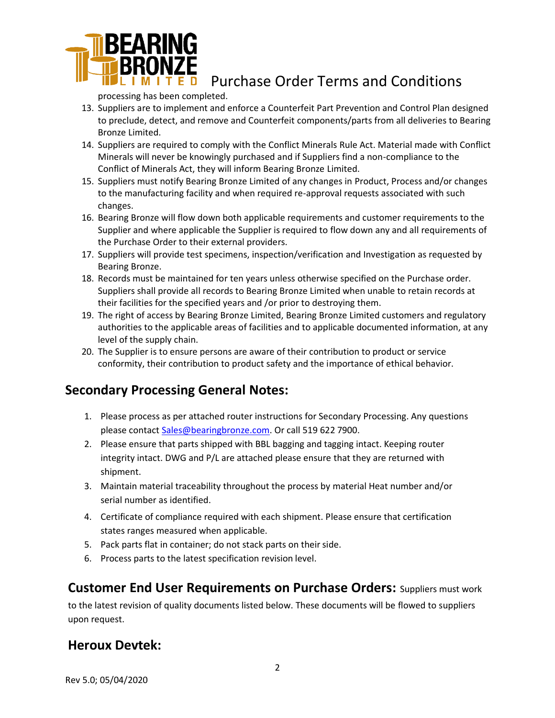

processing has been completed.

- 13. Suppliers are to implement and enforce a Counterfeit Part Prevention and Control Plan designed to preclude, detect, and remove and Counterfeit components/parts from all deliveries to Bearing Bronze Limited.
- 14. Suppliers are required to comply with the Conflict Minerals Rule Act. Material made with Conflict Minerals will never be knowingly purchased and if Suppliers find a non-compliance to the Conflict of Minerals Act, they will inform Bearing Bronze Limited.
- 15. Suppliers must notify Bearing Bronze Limited of any changes in Product, Process and/or changes to the manufacturing facility and when required re-approval requests associated with such changes.
- 16. Bearing Bronze will flow down both applicable requirements and customer requirements to the Supplier and where applicable the Supplier is required to flow down any and all requirements of the Purchase Order to their external providers.
- 17. Suppliers will provide test specimens, inspection/verification and Investigation as requested by Bearing Bronze.
- 18. Records must be maintained for ten years unless otherwise specified on the Purchase order. Suppliers shall provide all records to Bearing Bronze Limited when unable to retain records at their facilities for the specified years and /or prior to destroying them.
- 19. The right of access by Bearing Bronze Limited, Bearing Bronze Limited customers and regulatory authorities to the applicable areas of facilities and to applicable documented information, at any level of the supply chain.
- 20. The Supplier is to ensure persons are aware of their contribution to product or service conformity, their contribution to product safety and the importance of ethical behavior.

# **Secondary Processing General Notes:**

- 1. Please process as per attached router instructions for Secondary Processing. Any questions please contact [Sales@bearingbronze.com. O](mailto:Sales@bearingbronze.com)r call 519 622 7900.
- 2. Please ensure that parts shipped with BBL bagging and tagging intact. Keeping router integrity intact. DWG and P/L are attached please ensure that they are returned with shipment.
- 3. Maintain material traceability throughout the process by material Heat number and/or serial number as identified.
- 4. Certificate of compliance required with each shipment. Please ensure that certification states ranges measured when applicable.
- 5. Pack parts flat in container; do not stack parts on their side.
- 6. Process parts to the latest specification revision level.

## **Customer End User Requirements on Purchase Orders:** Suppliers must work

to the latest revision of quality documents listed below. These documents will be flowed to suppliers upon request.

## **Heroux Devtek:**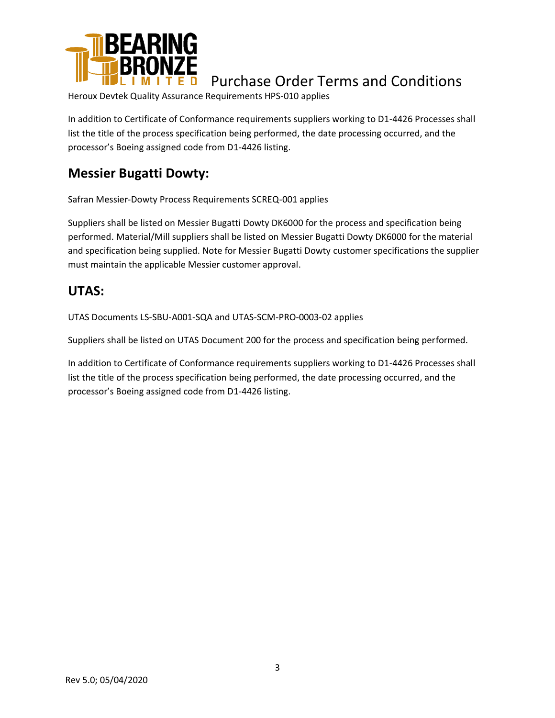

Heroux Devtek Quality Assurance Requirements HPS-010 applies

In addition to Certificate of Conformance requirements suppliers working to D1-4426 Processes shall list the title of the process specification being performed, the date processing occurred, and the processor's Boeing assigned code from D1-4426 listing.

# **Messier Bugatti Dowty:**

Safran Messier-Dowty Process Requirements SCREQ-001 applies

Suppliers shall be listed on Messier Bugatti Dowty DK6000 for the process and specification being performed. Material/Mill suppliers shall be listed on Messier Bugatti Dowty DK6000 for the material and specification being supplied. Note for Messier Bugatti Dowty customer specifications the supplier must maintain the applicable Messier customer approval.

### **UTAS:**

UTAS Documents LS-SBU-A001-SQA and UTAS-SCM-PRO-0003-02 applies

Suppliers shall be listed on UTAS Document 200 for the process and specification being performed.

In addition to Certificate of Conformance requirements suppliers working to D1-4426 Processes shall list the title of the process specification being performed, the date processing occurred, and the processor's Boeing assigned code from D1-4426 listing.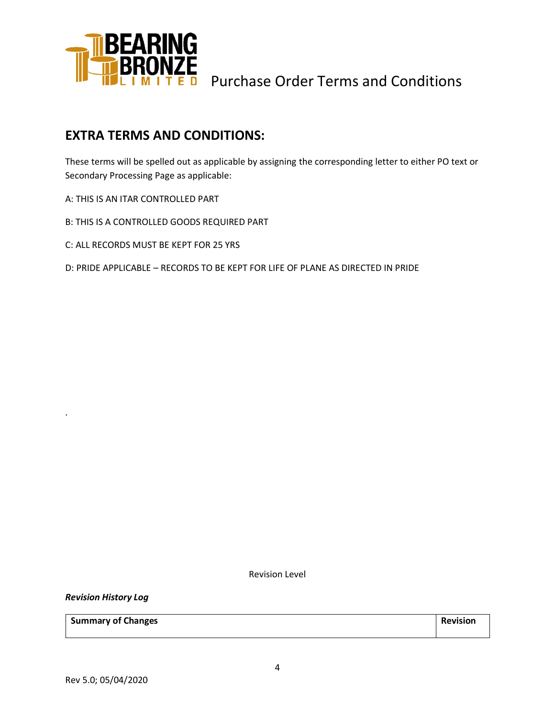

### **EXTRA TERMS AND CONDITIONS:**

These terms will be spelled out as applicable by assigning the corresponding letter to either PO text or Secondary Processing Page as applicable:

A: THIS IS AN ITAR CONTROLLED PART

B: THIS IS A CONTROLLED GOODS REQUIRED PART

C: ALL RECORDS MUST BE KEPT FOR 25 YRS

D: PRIDE APPLICABLE – RECORDS TO BE KEPT FOR LIFE OF PLANE AS DIRECTED IN PRIDE

Revision Level

*Revision History Log*

.

**Summary of Changes Revision**